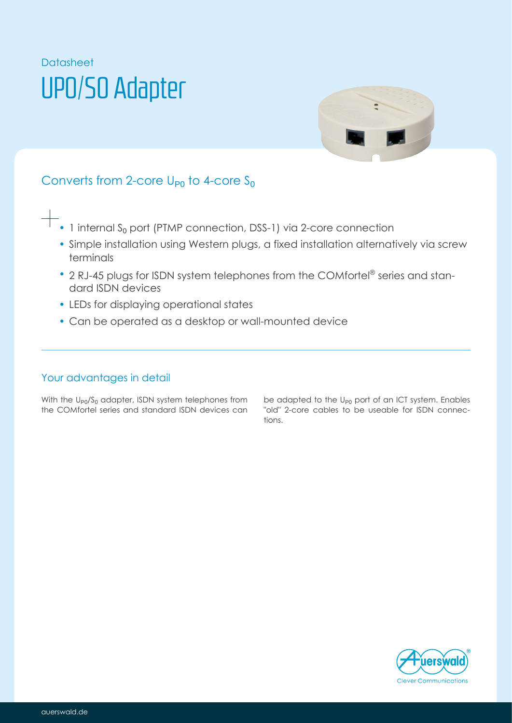# Datasheet UP0/S0 Adapter



# Converts from 2-core  $U_{P0}$  to 4-core  $S_0$

- $+$   $\overline{\phantom{1}}$  internal S<sub>0</sub> port (PTMP connection, DSS-1) via 2-core connection
	- Simple installation using Western plugs, a fixed installation alternatively via screw terminals
	- 2 RJ-45 plugs for ISDN system telephones from the COMfortel® series and standard ISDN devices
	- LEDs for displaying operational states
	- Can be operated as a desktop or wall-mounted device

### Your advantages in detail

With the  $\mathsf{U}_{\mathsf{P} 0} / \mathsf{S}_0$  adapter, ISDN system telephones from the COMfortel series and standard ISDN devices can be adapted to the  $U_{P0}$  port of an ICT system. Enables "old" 2-core cables to be useable for ISDN connections.